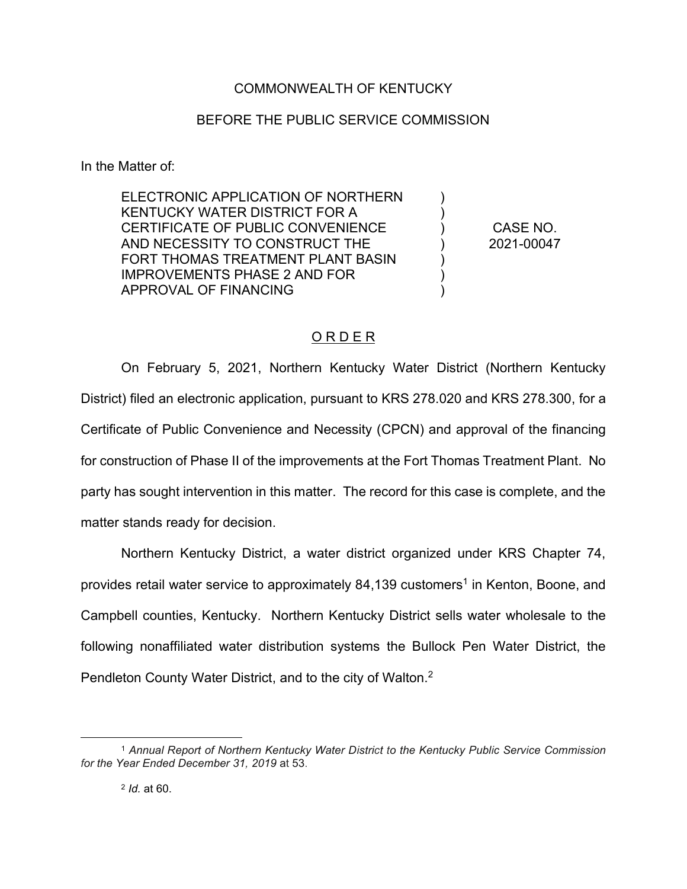## COMMONWEALTH OF KENTUCKY

## BEFORE THE PUBLIC SERVICE COMMISSION

In the Matter of:

ELECTRONIC APPLICATION OF NORTHERN KENTUCKY WATER DISTRICT FOR A CERTIFICATE OF PUBLIC CONVENIENCE AND NECESSITY TO CONSTRUCT THE FORT THOMAS TREATMENT PLANT BASIN IMPROVEMENTS PHASE 2 AND FOR APPROVAL OF FINANCING

CASE NO. 2021-00047

) ) ) ) ) ) )

## O R D E R

On February 5, 2021, Northern Kentucky Water District (Northern Kentucky District) filed an electronic application, pursuant to KRS 278.020 and KRS 278.300, for a Certificate of Public Convenience and Necessity (CPCN) and approval of the financing for construction of Phase II of the improvements at the Fort Thomas Treatment Plant. No party has sought intervention in this matter. The record for this case is complete, and the matter stands ready for decision.

Northern Kentucky District, a water district organized under KRS Chapter 74, provides retail water service to approximately  $84,139$  customers<sup>1</sup> in Kenton, Boone, and Campbell counties, Kentucky. Northern Kentucky District sells water wholesale to the following nonaffiliated water distribution systems the Bullock Pen Water District, the Pendleton County Water District, and to the city of Walton.<sup>2</sup>

<sup>1</sup> *Annual Report of Northern Kentucky Water District to the Kentucky Public Service Commission for the Year Ended December 31, 2019* at 53.

<sup>2</sup> *Id.* at 60.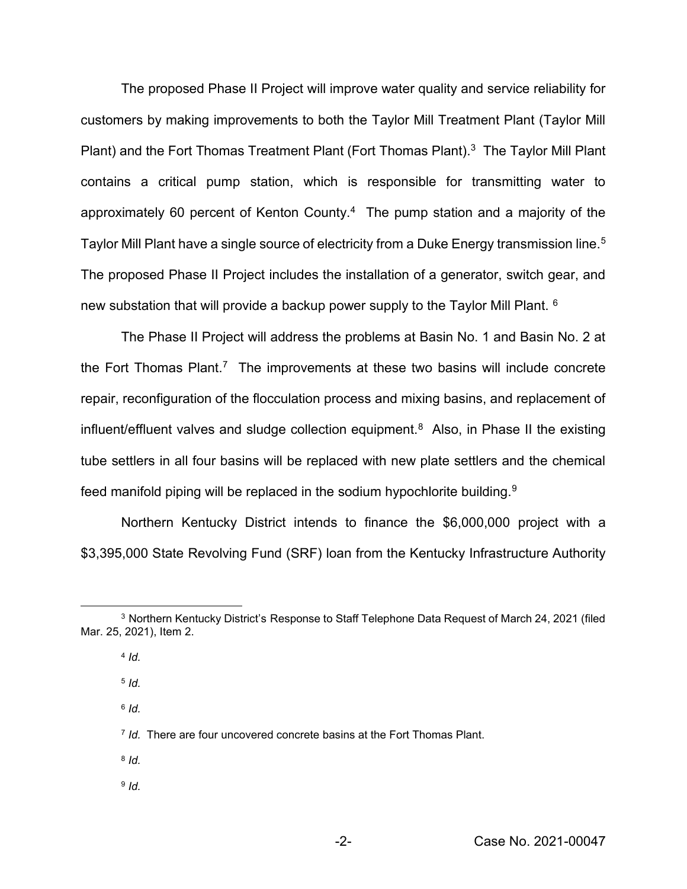The proposed Phase II Project will improve water quality and service reliability for customers by making improvements to both the Taylor Mill Treatment Plant (Taylor Mill Plant) and the Fort Thomas Treatment Plant (Fort Thomas Plant).<sup>3</sup> The Taylor Mill Plant contains a critical pump station, which is responsible for transmitting water to approximately 60 percent of Kenton County.<sup>4</sup> The pump station and a majority of the Taylor Mill Plant have a single source of electricity from a Duke Energy transmission line.<sup>5</sup> The proposed Phase II Project includes the installation of a generator, switch gear, and new substation that will provide a backup power supply to the Taylor Mill Plant. 6

The Phase II Project will address the problems at Basin No. 1 and Basin No. 2 at the Fort Thomas Plant.<sup>7</sup> The improvements at these two basins will include concrete repair, reconfiguration of the flocculation process and mixing basins, and replacement of influent/effluent valves and sludge collection equipment.<sup>8</sup> Also, in Phase II the existing tube settlers in all four basins will be replaced with new plate settlers and the chemical feed manifold piping will be replaced in the sodium hypochlorite building.<sup>9</sup>

Northern Kentucky District intends to finance the \$6,000,000 project with a \$3,395,000 State Revolving Fund (SRF) loan from the Kentucky Infrastructure Authority

<sup>5</sup> *Id.*

<sup>6</sup> *Id.*

- <sup>8</sup> *Id.*
- <sup>9</sup> *Id.*

<sup>3</sup> Northern Kentucky District's Response to Staff Telephone Data Request of March 24, 2021 (filed Mar. 25, 2021), Item 2.

<sup>4</sup> *Id.*

<sup>7</sup> *Id.* There are four uncovered concrete basins at the Fort Thomas Plant.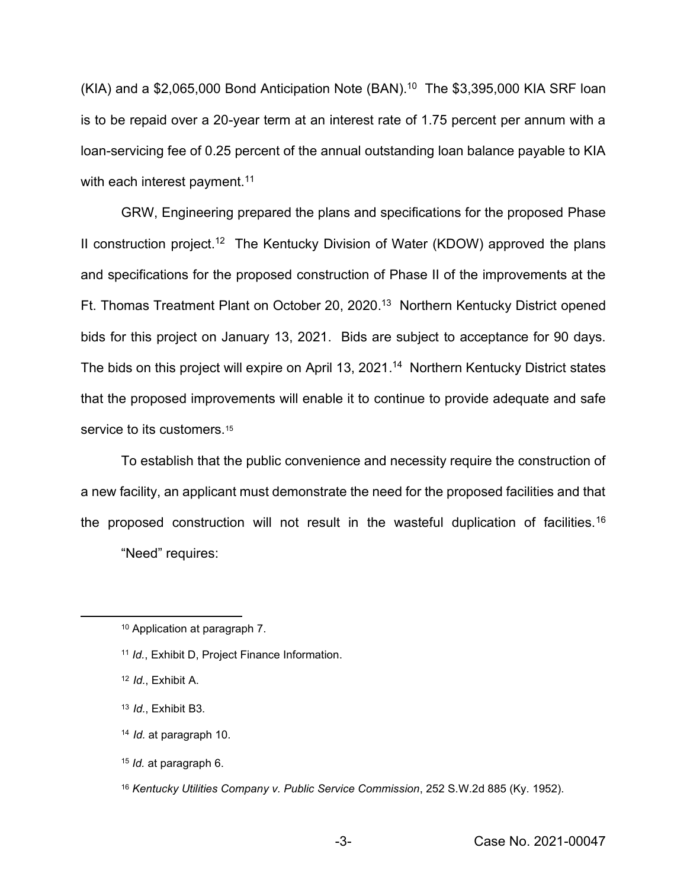$(KIA)$  and a \$2,065,000 Bond Anticipation Note  $(BAN).<sup>10</sup>$  The \$3,395,000 KIA SRF loan is to be repaid over a 20-year term at an interest rate of 1.75 percent per annum with a loan-servicing fee of 0.25 percent of the annual outstanding loan balance payable to KIA with each interest payment.<sup>11</sup>

GRW, Engineering prepared the plans and specifications for the proposed Phase II construction project.<sup>12</sup> The Kentucky Division of Water (KDOW) approved the plans and specifications for the proposed construction of Phase II of the improvements at the Ft. Thomas Treatment Plant on October 20, 2020. <sup>13</sup> Northern Kentucky District opened bids for this project on January 13, 2021. Bids are subject to acceptance for 90 days. The bids on this project will expire on April 13, 2021.<sup>14</sup> Northern Kentucky District states that the proposed improvements will enable it to continue to provide adequate and safe service to its customers.<sup>15</sup>

To establish that the public convenience and necessity require the construction of a new facility, an applicant must demonstrate the need for the proposed facilities and that the proposed construction will not result in the wasteful duplication of facilities.<sup>16</sup>

"Need" requires:

- <sup>14</sup> *Id.* at paragraph 10.
- <sup>15</sup> *Id.* at paragraph 6.
- <sup>16</sup> *Kentucky Utilities Company v. Public Service Commission*, 252 S.W.2d 885 (Ky. 1952).

<sup>10</sup> Application at paragraph 7.

<sup>11</sup> *Id.*, Exhibit D, Project Finance Information.

<sup>12</sup> *Id.*, Exhibit A.

<sup>13</sup> *Id.*, Exhibit B3.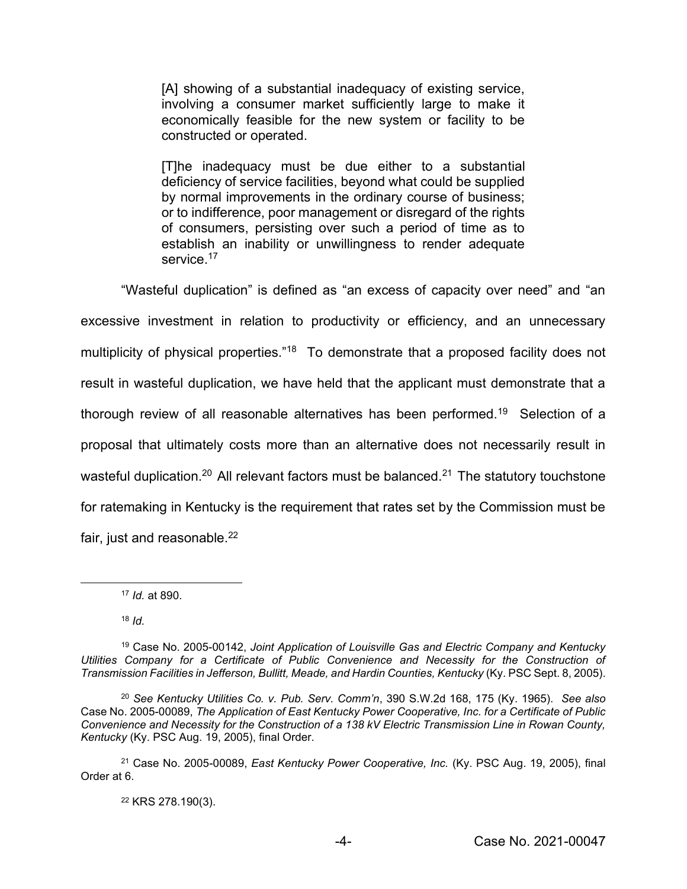[A] showing of a substantial inadequacy of existing service, involving a consumer market sufficiently large to make it economically feasible for the new system or facility to be constructed or operated.

[T]he inadequacy must be due either to a substantial deficiency of service facilities, beyond what could be supplied by normal improvements in the ordinary course of business; or to indifference, poor management or disregard of the rights of consumers, persisting over such a period of time as to establish an inability or unwillingness to render adequate service.<sup>17</sup>

"Wasteful duplication" is defined as "an excess of capacity over need" and "an excessive investment in relation to productivity or efficiency, and an unnecessary multiplicity of physical properties."<sup>18</sup> To demonstrate that a proposed facility does not result in wasteful duplication, we have held that the applicant must demonstrate that a thorough review of all reasonable alternatives has been performed.<sup>19</sup> Selection of a proposal that ultimately costs more than an alternative does not necessarily result in wasteful duplication.<sup>20</sup> All relevant factors must be balanced.<sup>21</sup> The statutory touchstone for ratemaking in Kentucky is the requirement that rates set by the Commission must be fair, just and reasonable.<sup>22</sup>

<sup>18</sup> *Id.*

<sup>22</sup> KRS 278.190(3).

<sup>17</sup> *Id.* at 890.

<sup>19</sup> Case No. 2005-00142, *Joint Application of Louisville Gas and Electric Company and Kentucky*  Utilities Company for a Certificate of Public Convenience and Necessity for the Construction of *Transmission Facilities in Jefferson, Bullitt, Meade, and Hardin Counties, Kentucky* (Ky. PSC Sept. 8, 2005).

<sup>20</sup> *See Kentucky Utilities Co. v. Pub. Serv. Comm'n*, 390 S.W.2d 168, 175 (Ky. 1965). *See also* Case No. 2005-00089, *The Application of East Kentucky Power Cooperative, Inc. for a Certificate of Public Convenience and Necessity for the Construction of a 138 kV Electric Transmission Line in Rowan County, Kentucky* (Ky. PSC Aug. 19, 2005), final Order.

<sup>21</sup> Case No. 2005-00089, *East Kentucky Power Cooperative, Inc.* (Ky. PSC Aug. 19, 2005), final Order at 6.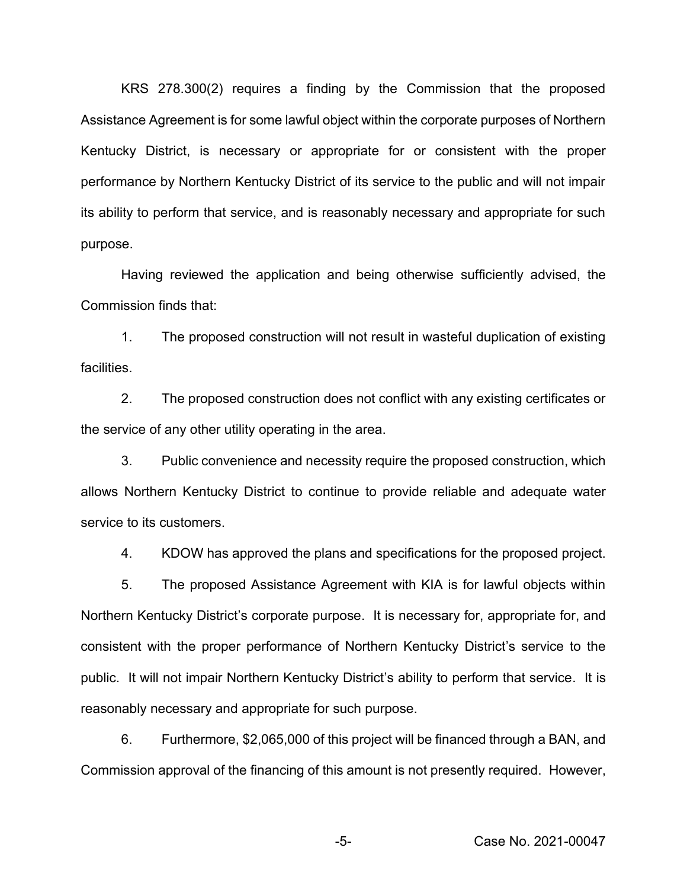KRS 278.300(2) requires a finding by the Commission that the proposed Assistance Agreement is for some lawful object within the corporate purposes of Northern Kentucky District, is necessary or appropriate for or consistent with the proper performance by Northern Kentucky District of its service to the public and will not impair its ability to perform that service, and is reasonably necessary and appropriate for such purpose.

Having reviewed the application and being otherwise sufficiently advised, the Commission finds that:

1. The proposed construction will not result in wasteful duplication of existing facilities.

2. The proposed construction does not conflict with any existing certificates or the service of any other utility operating in the area.

3. Public convenience and necessity require the proposed construction, which allows Northern Kentucky District to continue to provide reliable and adequate water service to its customers.

4. KDOW has approved the plans and specifications for the proposed project.

5. The proposed Assistance Agreement with KIA is for lawful objects within Northern Kentucky District's corporate purpose. It is necessary for, appropriate for, and consistent with the proper performance of Northern Kentucky District's service to the public. It will not impair Northern Kentucky District's ability to perform that service. It is reasonably necessary and appropriate for such purpose.

6. Furthermore, \$2,065,000 of this project will be financed through a BAN, and Commission approval of the financing of this amount is not presently required. However,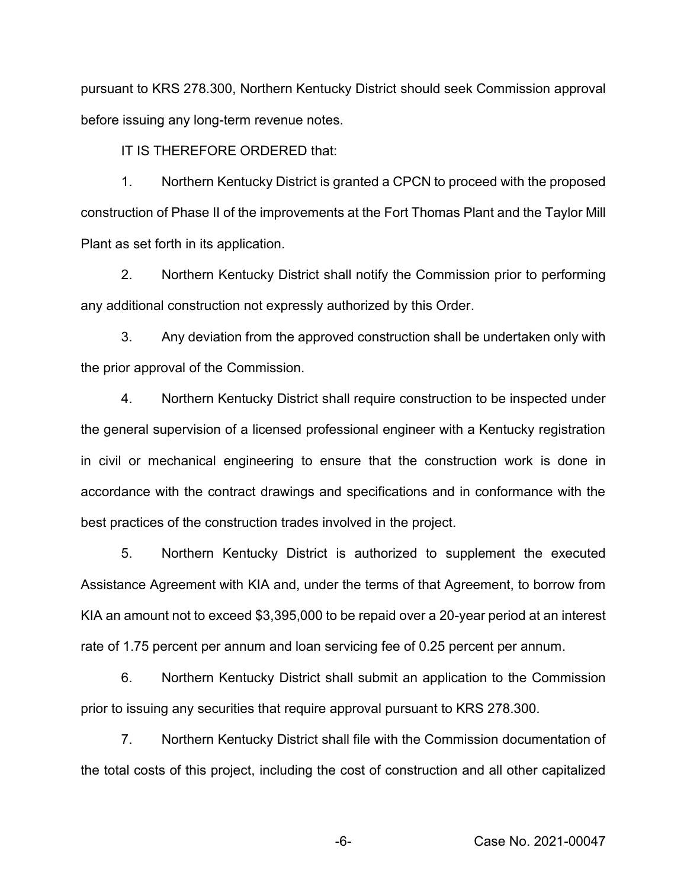pursuant to KRS 278.300, Northern Kentucky District should seek Commission approval before issuing any long-term revenue notes.

IT IS THEREFORE ORDERED that:

1. Northern Kentucky District is granted a CPCN to proceed with the proposed construction of Phase II of the improvements at the Fort Thomas Plant and the Taylor Mill Plant as set forth in its application.

2. Northern Kentucky District shall notify the Commission prior to performing any additional construction not expressly authorized by this Order.

3. Any deviation from the approved construction shall be undertaken only with the prior approval of the Commission.

4. Northern Kentucky District shall require construction to be inspected under the general supervision of a licensed professional engineer with a Kentucky registration in civil or mechanical engineering to ensure that the construction work is done in accordance with the contract drawings and specifications and in conformance with the best practices of the construction trades involved in the project.

5. Northern Kentucky District is authorized to supplement the executed Assistance Agreement with KIA and, under the terms of that Agreement, to borrow from KIA an amount not to exceed \$3,395,000 to be repaid over a 20-year period at an interest rate of 1.75 percent per annum and loan servicing fee of 0.25 percent per annum.

6. Northern Kentucky District shall submit an application to the Commission prior to issuing any securities that require approval pursuant to KRS 278.300.

7. Northern Kentucky District shall file with the Commission documentation of the total costs of this project, including the cost of construction and all other capitalized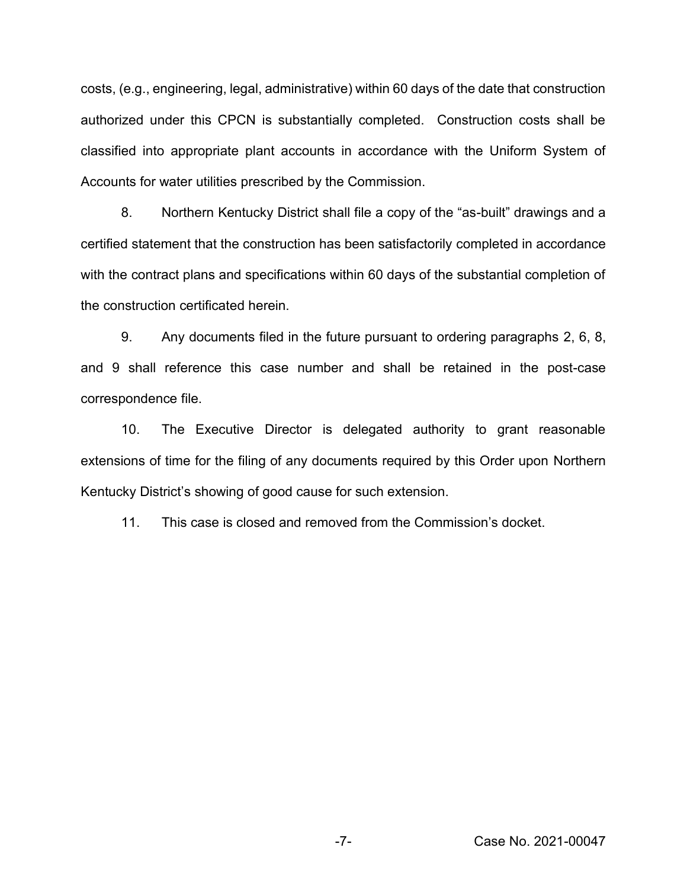costs, (e.g., engineering, legal, administrative) within 60 days of the date that construction authorized under this CPCN is substantially completed. Construction costs shall be classified into appropriate plant accounts in accordance with the Uniform System of Accounts for water utilities prescribed by the Commission.

8. Northern Kentucky District shall file a copy of the "as-built" drawings and a certified statement that the construction has been satisfactorily completed in accordance with the contract plans and specifications within 60 days of the substantial completion of the construction certificated herein.

9. Any documents filed in the future pursuant to ordering paragraphs 2, 6, 8, and 9 shall reference this case number and shall be retained in the post-case correspondence file.

10. The Executive Director is delegated authority to grant reasonable extensions of time for the filing of any documents required by this Order upon Northern Kentucky District's showing of good cause for such extension.

11. This case is closed and removed from the Commission's docket.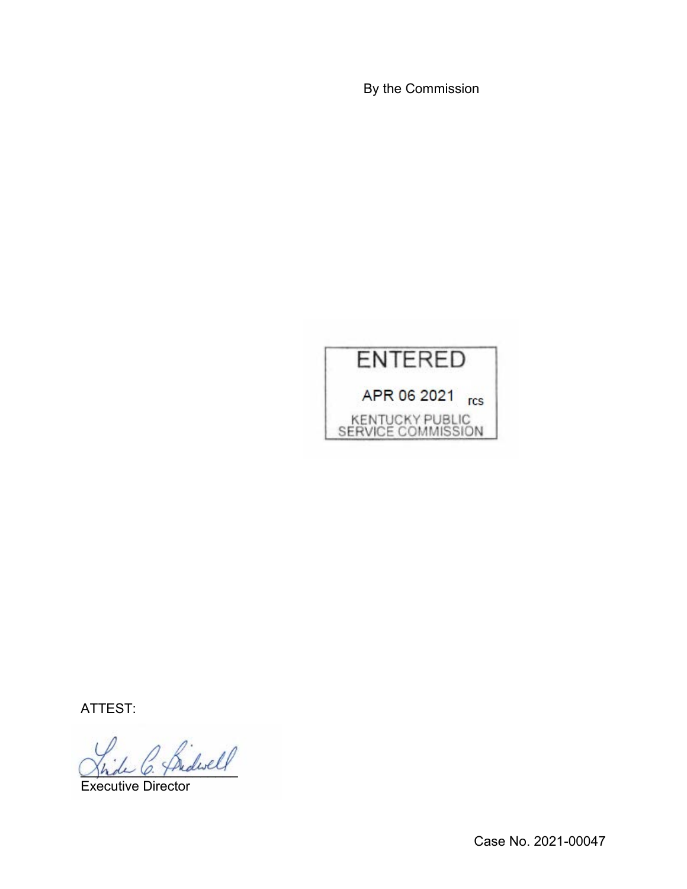By the Commission



ATTEST:

\_\_\_\_\_\_\_\_\_\_\_\_\_\_\_\_\_\_\_\_\_

Executive Director

Case No. 2021-00047